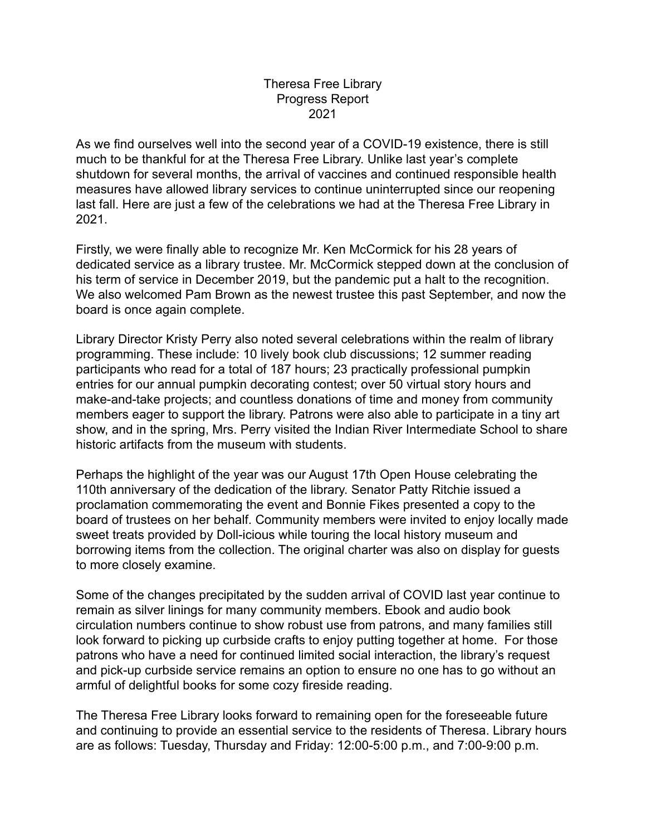As we find ourselves well into the second year of a COVID-19 existence, there is still much to be thankful for at the Theresa Free Library. Unlike last year's complete shutdown for several months, the arrival of vaccines and continued responsible health measures have allowed library services to continue uninterrupted since our reopening last fall. Here are just a few of the celebrations we had at the Theresa Free Library in 2021.

Firstly, we were finally able to recognize Mr. Ken McCormick for his 28 years of dedicated service as a library trustee. Mr. McCormick stepped down at the conclusion of his term of service in December 2019, but the pandemic put a halt to the recognition. We also welcomed Pam Brown as the newest trustee this past September, and now the board is once again complete.

Library Director Kristy Perry also noted several celebrations within the realm of library programming. These include: 10 lively book club discussions; 12 summer reading participants who read for a total of 187 hours; 23 practically professional pumpkin entries for our annual pumpkin decorating contest; over 50 virtual story hours and make-and-take projects; and countless donations of time and money from community members eager to support the library. Patrons were also able to participate in a tiny art show, and in the spring, Mrs. Perry visited the Indian River Intermediate School to share historic artifacts from the museum with students.

Perhaps the highlight of the year was our August 17th Open House celebrating the 110th anniversary of the dedication of the library. Senator Patty Ritchie issued a proclamation commemorating the event and Bonnie Fikes presented a copy to the board of trustees on her behalf. Community members were invited to enjoy locally made sweet treats provided by Doll-icious while touring the local history museum and borrowing items from the collection. The original charter was also on display for guests to more closely examine.

Some of the changes precipitated by the sudden arrival of COVID last year continue to remain as silver linings for many community members. Ebook and audio book circulation numbers continue to show robust use from patrons, and many families still look forward to picking up curbside crafts to enjoy putting together at home. For those patrons who have a need for continued limited social interaction, the library's request and pick-up curbside service remains an option to ensure no one has to go without an armful of delightful books for some cozy fireside reading.

The Theresa Free Library looks forward to remaining open for the foreseeable future and continuing to provide an essential service to the residents of Theresa. Library hours are as follows: Tuesday, Thursday and Friday: 12:00-5:00 p.m., and 7:00-9:00 p.m.